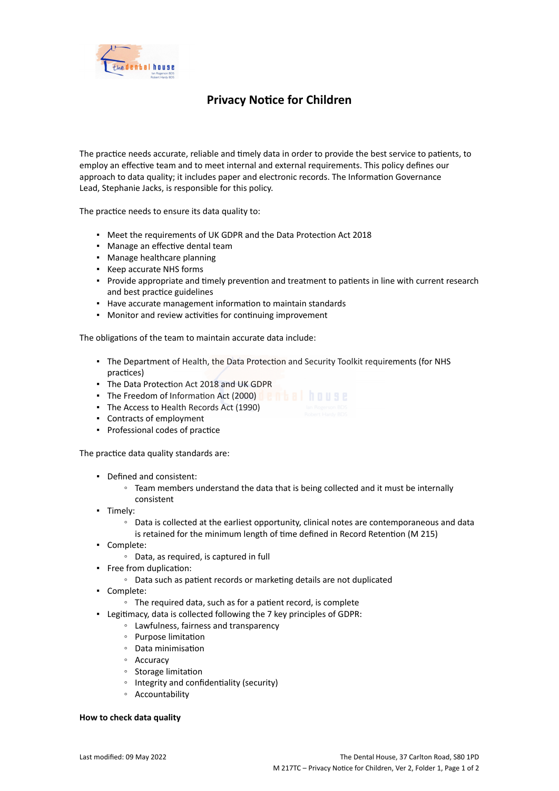

# **Privacy Notice for Children**

The practice needs accurate, reliable and timely data in order to provide the best service to patients, to employ an effective team and to meet internal and external requirements. This policy defines our approach to data quality; it includes paper and electronic records. The Information Governance Lead, Stephanie Jacks, is responsible for this policy.

The practice needs to ensure its data quality to:

- Meet the requirements of UK GDPR and the Data Protection Act 2018
- Manage an effective dental team
- Manage healthcare planning
- Keep accurate NHS forms
- Provide appropriate and timely prevention and treatment to patients in line with current research and best practice guidelines
- Have accurate management information to maintain standards
- Monitor and review activities for continuing improvement

The obligations of the team to maintain accurate data include:

- The Department of Health, the Data Protection and Security Toolkit requirements (for NHS practices)
- The Data Protection Act 2018 and UK GDPR
- **The Freedom of Information Act (2000)**
- The Access to Health Records Act (1990)
- Contracts of employment
- Professional codes of practice

The practice data quality standards are:

- Defined and consistent:
	- Team members understand the data that is being collected and it must be internally consistent
- Timely:
	- Data is collected at the earliest opportunity, clinical notes are contemporaneous and data is retained for the minimum length of time defined in Record Retention (M 215)
- Complete:
	- Data, as required, is captured in full
- Free from duplication:
	- Data such as patient records or marketing details are not duplicated
- Complete:
	- The required data, such as for a patient record, is complete
- Legitimacy, data is collected following the 7 key principles of GDPR:
	- Lawfulness, fairness and transparency
	- Purpose limitation
	- Data minimisation
	- Accuracy
	- Storage limitation
	- Integrity and confidentiality (security)
	- Accountability

## **How to check data quality**